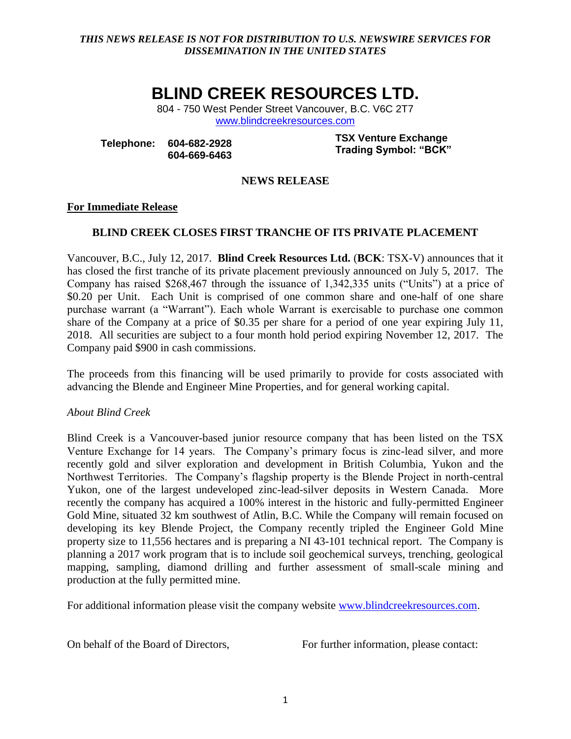## *THIS NEWS RELEASE IS NOT FOR DISTRIBUTION TO U.S. NEWSWIRE SERVICES FOR DISSEMINATION IN THE UNITED STATES*

# **BLIND CREEK RESOURCES LTD.**

804 - 750 West Pender Street Vancouver, B.C. V6C 2T7 [www.blindcreekresources.com](http://www.blindcreekresources.com/)

**Telephone: 604-682-2928 604-669-6463** **TSX Venture Exchange Trading Symbol: "BCK"**

## **NEWS RELEASE**

### **For Immediate Release**

# **BLIND CREEK CLOSES FIRST TRANCHE OF ITS PRIVATE PLACEMENT**

Vancouver, B.C., July 12, 2017. **Blind Creek Resources Ltd.** (**BCK**: TSX-V) announces that it has closed the first tranche of its private placement previously announced on July 5, 2017. The Company has raised \$268,467 through the issuance of 1,342,335 units ("Units") at a price of \$0.20 per Unit. Each Unit is comprised of one common share and one-half of one share purchase warrant (a "Warrant"). Each whole Warrant is exercisable to purchase one common share of the Company at a price of \$0.35 per share for a period of one year expiring July 11, 2018. All securities are subject to a four month hold period expiring November 12, 2017. The Company paid \$900 in cash commissions.

The proceeds from this financing will be used primarily to provide for costs associated with advancing the Blende and Engineer Mine Properties, and for general working capital.

# *About Blind Creek*

Blind Creek is a Vancouver-based junior resource company that has been listed on the TSX Venture Exchange for 14 years. The Company's primary focus is zinc-lead silver, and more recently gold and silver exploration and development in British Columbia, Yukon and the Northwest Territories. The Company's flagship property is the Blende Project in north-central Yukon, one of the largest undeveloped zinc-lead-silver deposits in Western Canada. More recently the company has acquired a 100% interest in the historic and fully-permitted Engineer Gold Mine, situated 32 km southwest of Atlin, B.C. While the Company will remain focused on developing its key Blende Project, the Company recently tripled the Engineer Gold Mine property size to 11,556 hectares and is preparing a NI 43-101 technical report. The Company is planning a 2017 work program that is to include soil geochemical surveys, trenching, geological mapping, sampling, diamond drilling and further assessment of small-scale mining and production at the fully permitted mine.

For additional information please visit the company website [www.blindcreekresources.com.](http://www.blindcreekresources.com/)

On behalf of the Board of Directors, For further information, please contact: